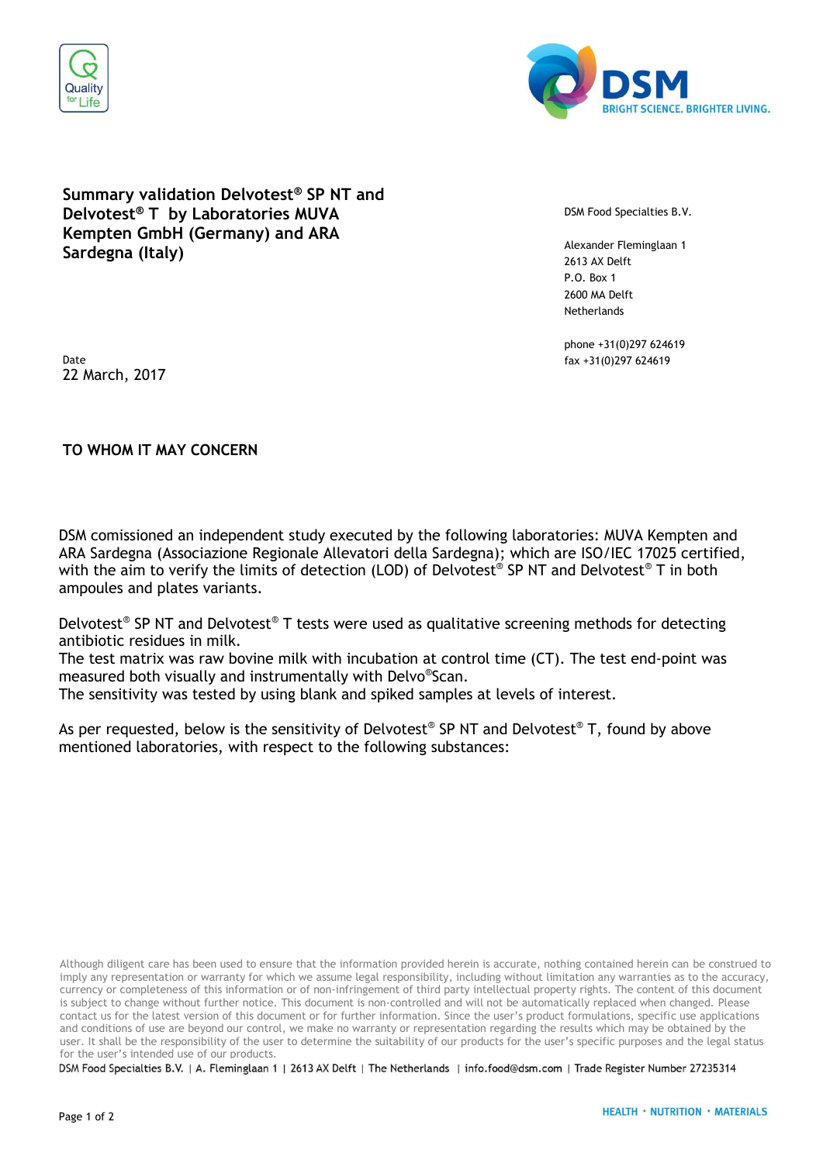



## **Summary validation Delvotest® SP NT and Delvotest® T by Laboratories MUVA Kempten GmbH (Germany) and ARA Sardegna (Italy)**

DSM Food Specialties B.V.

Alexander Fleminglaan 1 2613 AX Delft P.O. Box 1 2600 MA Delft **Netherlands** 

phone +31(0)297 624619

Date fax +31(0)297 624619 22 March, 2017

## **TO WHOM IT MAY CONCERN**

DSM comissioned an independent study executed by the following laboratories: MUVA Kempten and ARA Sardegna (Associazione Regionale Allevatori della Sardegna); which are ISO/IEC 17025 certified, with the aim to verify the limits of detection (LOD) of Delvotest® SP NT and Delvotest® T in both ampoules and plates variants.

Delvotest® SP NT and Delvotest® T tests were used as qualitative screening methods for detecting antibiotic residues in milk.

The test matrix was raw bovine milk with incubation at control time (CT). The test end-point was measured both visually and instrumentally with Delvo® Scan.

The sensitivity was tested by using blank and spiked samples at levels of interest.

As per requested, below is the sensitivity of Delvotest® SP NT and Delvotest® T, found by above mentioned laboratories, with respect to the following substances:

Although diligent care has been used to ensure that the information provided herein is accurate, nothing contained herein can be construed to imply any representation or warranty for which we assume legal responsibility, including without limitation any warranties as to the accuracy, currency or completeness of this information or of non-infringement of third party intellectual property rights. The content of this document is subject to change without further notice. This document is non-controlled and will not be automatically replaced when changed. Please contact us for the latest version of this document or for further information. Since the user's product formulations, specific use applications and conditions of use are beyond our control, we make no warranty or representation regarding the results which may be obtained by the user. It shall be the responsibility of the user to determine the suitability of our products for the user's specific purposes and the legal status for the user's intended use of our products.

DSM Food Specialties B.V. | A. Fleminglaan 1 | 2613 AX Delft | The Netherlands | info.food@dsm.com | Trade Register Number 27235314